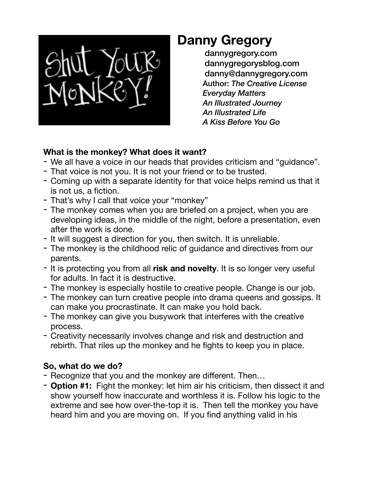

## **Danny Gregory**

[dannygregory.com](http://dannygregory.com) dannygregorysblog.com danny@dannygregory.com Author: *The Creative License Everyday Matters An Illustrated Journey An Illustrated Life A Kiss Before You Go*

## **What is the monkey? What does it want?**

- We all have a voice in our heads that provides criticism and "guidance".
- That voice is not you. It is not your friend or to be trusted.
- Coming up with a separate identity for that voice helps remind us that it is not us, a fiction.
- That's why I call that voice your "monkey"
- The monkey comes when you are briefed on a project, when you are developing ideas, in the middle of the night, before a presentation, even after the work is done.
- It will suggest a direction for you, then switch. It is unreliable.
- The monkey is the childhood relic of guidance and directives from our parents.
- It is protecting you from all **risk and novelty**. It is so longer very useful for adults. In fact it is destructive.
- The monkey is especially hostile to creative people. Change is our job.
- The monkey can turn creative people into drama queens and gossips. It can make you procrastinate. It can make you hold back.
- The monkey can give you busywork that interferes with the creative process.
- Creativity necessarily involves change and risk and destruction and rebirth. That riles up the monkey and he fights to keep you in place.

## **So, what do we do?**

- Recognize that you and the monkey are different. Then…
- **Option #1:** Fight the monkey: let him air his criticism, then dissect it and show yourself how inaccurate and worthless it is. Follow his logic to the extreme and see how over-the-top it is. Then tell the monkey you have heard him and you are moving on. If you find anything valid in his